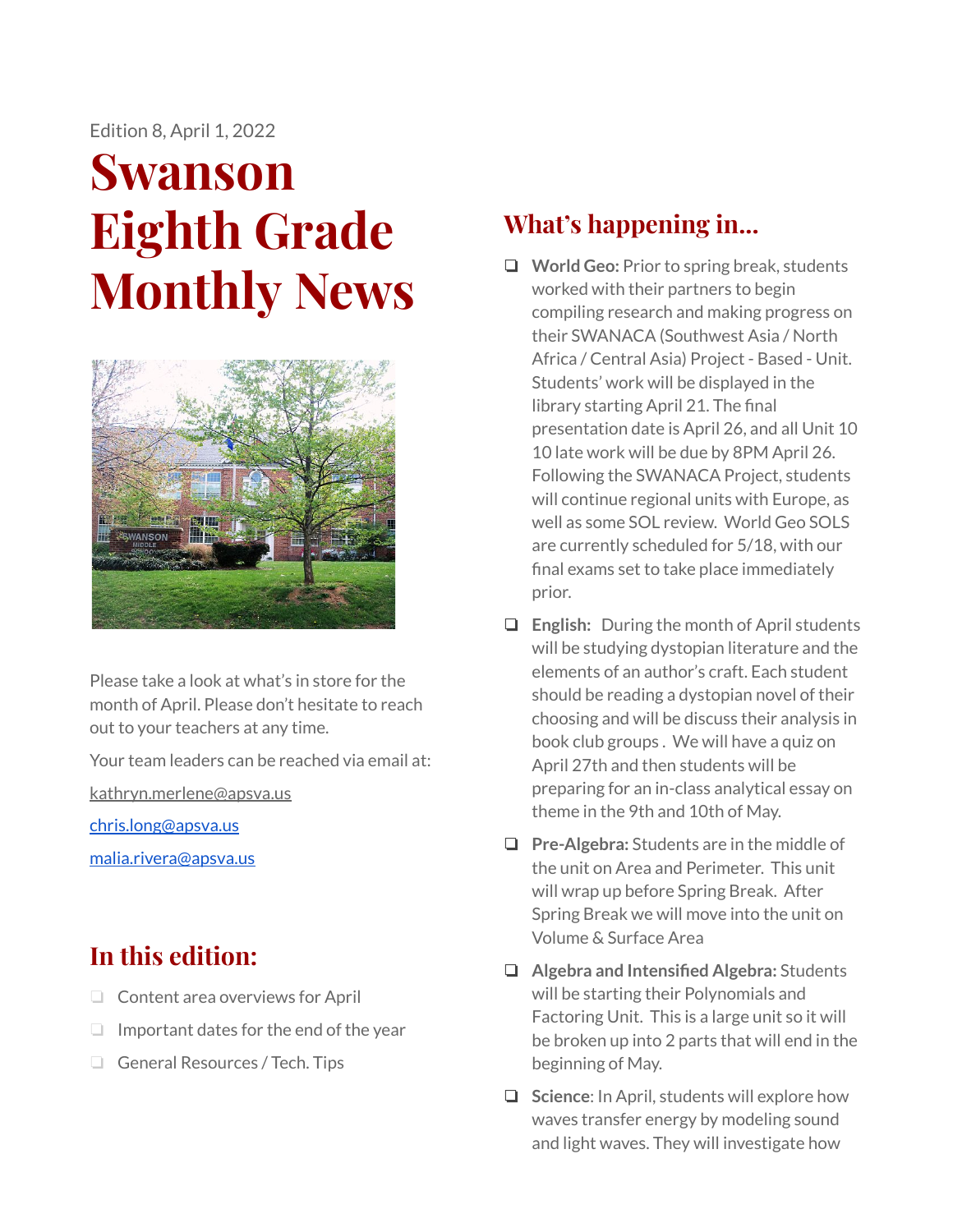Edition 8, April 1, 2022

# **Swanson Eighth Grade Monthly News**



Please take a look at what's in store for the month of April. Please don't hesitate to reach out to your teachers at any time.

Your team leaders can be reached via email at:

[kathryn.merlene@apsva.us](mailto:kathryn.merlene@apsva.us)

[chris.long@apsva.us](mailto:chris.long@apsva.us)

[malia.rivera@apsva.us](mailto:malia.rivera@apsva.us)

## **In this edition:**

- ❏ Content area overviews for April
- ❏ Important dates for the end of the year
- ❏ General Resources / Tech. Tips

# **What's happening in...**

- ❏ **World Geo:** Prior to spring break, students worked with their partners to begin compiling research and making progress on their SWANACA (Southwest Asia / North Africa / Central Asia) Project - Based - Unit. Students' work will be displayed in the library starting April 21. The final presentation date is April 26, and all Unit 10 10 late work will be due by 8PM April 26. Following the SWANACA Project, students will continue regional units with Europe, as well as some SOL review. World Geo SOLS are currently scheduled for 5/18, with our final exams set to take place immediately prior.
- ❏ **English:** During the month of April students will be studying dystopian literature and the elements of an author's craft. Each student should be reading a dystopian novel of their choosing and will be discuss their analysis in book club groups . We will have a quiz on April 27th and then students will be preparing for an in-class analytical essay on theme in the 9th and 10th of May.
- ❏ **Pre-Algebra:** Students are in the middle of the unit on Area and Perimeter. This unit will wrap up before Spring Break. After Spring Break we will move into the unit on Volume & Surface Area
- ❏ **Algebra and Intensified Algebra:** Students will be starting their Polynomials and Factoring Unit. This is a large unit so it will be broken up into 2 parts that will end in the beginning of May.
- ❏ **Science**: In April, students will explore how waves transfer energy by modeling sound and light waves. They will investigate how